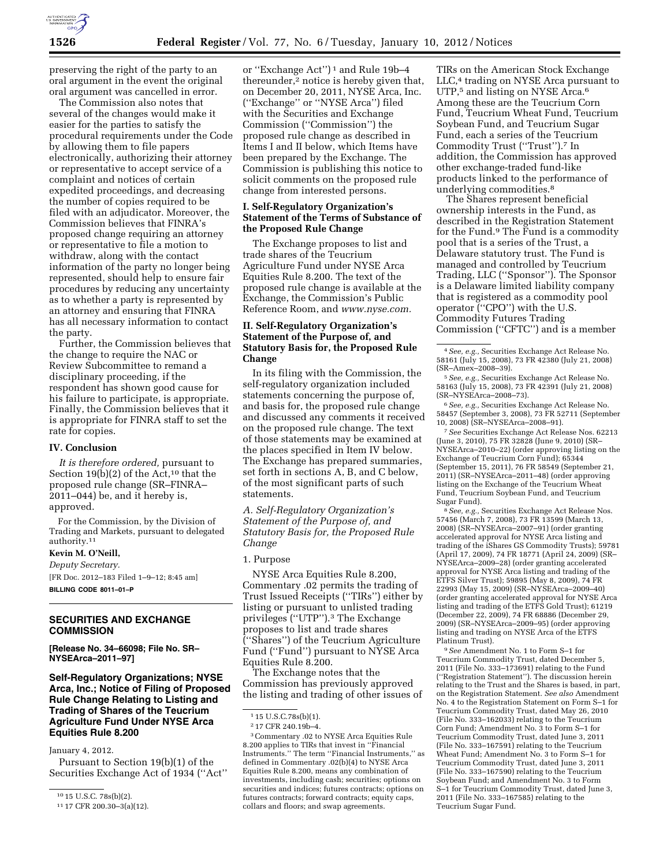

preserving the right of the party to an oral argument in the event the original oral argument was cancelled in error.

The Commission also notes that several of the changes would make it easier for the parties to satisfy the procedural requirements under the Code by allowing them to file papers electronically, authorizing their attorney or representative to accept service of a complaint and notices of certain expedited proceedings, and decreasing the number of copies required to be filed with an adjudicator. Moreover, the Commission believes that FINRA's proposed change requiring an attorney or representative to file a motion to withdraw, along with the contact information of the party no longer being represented, should help to ensure fair procedures by reducing any uncertainty as to whether a party is represented by an attorney and ensuring that FINRA has all necessary information to contact the party.

Further, the Commission believes that the change to require the NAC or Review Subcommittee to remand a disciplinary proceeding, if the respondent has shown good cause for his failure to participate, is appropriate. Finally, the Commission believes that it is appropriate for FINRA staff to set the rate for copies.

### **IV. Conclusion**

*It is therefore ordered,* pursuant to Section 19(b)(2) of the Act,<sup>10</sup> that the proposed rule change (SR–FINRA– 2011–044) be, and it hereby is, approved.

For the Commission, by the Division of Trading and Markets, pursuant to delegated authority.11

### **Kevin M. O'Neill,**

*Deputy Secretary.*  [FR Doc. 2012–183 Filed 1–9–12; 8:45 am]

**BILLING CODE 8011–01–P** 

# **SECURITIES AND EXCHANGE COMMISSION**

**[Release No. 34–66098; File No. SR– NYSEArca–2011–97]** 

# **Self-Regulatory Organizations; NYSE Arca, Inc.; Notice of Filing of Proposed Rule Change Relating to Listing and Trading of Shares of the Teucrium Agriculture Fund Under NYSE Arca Equities Rule 8.200**

January 4, 2012.

Pursuant to Section 19(b)(1) of the Securities Exchange Act of 1934 (''Act''

or ''Exchange Act'') 1 and Rule 19b–4 thereunder,2 notice is hereby given that, on December 20, 2011, NYSE Arca, Inc. (''Exchange'' or ''NYSE Arca'') filed with the Securities and Exchange Commission (''Commission'') the proposed rule change as described in Items I and II below, which Items have been prepared by the Exchange. The Commission is publishing this notice to solicit comments on the proposed rule change from interested persons.

## **I. Self-Regulatory Organization's Statement of the Terms of Substance of the Proposed Rule Change**

The Exchange proposes to list and trade shares of the Teucrium Agriculture Fund under NYSE Arca Equities Rule 8.200. The text of the proposed rule change is available at the Exchange, the Commission's Public Reference Room, and *[www.nyse.com.](http://www.nyse.com)* 

# **II. Self-Regulatory Organization's Statement of the Purpose of, and Statutory Basis for, the Proposed Rule Change**

In its filing with the Commission, the self-regulatory organization included statements concerning the purpose of, and basis for, the proposed rule change and discussed any comments it received on the proposed rule change. The text of those statements may be examined at the places specified in Item IV below. The Exchange has prepared summaries, set forth in sections A, B, and C below, of the most significant parts of such statements.

*A. Self-Regulatory Organization's Statement of the Purpose of, and Statutory Basis for, the Proposed Rule Change* 

### 1. Purpose

NYSE Arca Equities Rule 8.200, Commentary .02 permits the trading of Trust Issued Receipts (''TIRs'') either by listing or pursuant to unlisted trading privileges (''UTP'').3 The Exchange proposes to list and trade shares (''Shares'') of the Teucrium Agriculture Fund (''Fund'') pursuant to NYSE Arca Equities Rule 8.200.

The Exchange notes that the Commission has previously approved the listing and trading of other issues of

3Commentary .02 to NYSE Arca Equities Rule 8.200 applies to TIRs that invest in ''Financial Instruments.'' The term ''Financial Instruments,'' as defined in Commentary .02(b)(4) to NYSE Arca Equities Rule 8.200, means any combination of investments, including cash; securities; options on securities and indices; futures contracts; options on futures contracts; forward contracts; equity caps, collars and floors; and swap agreements.

TIRs on the American Stock Exchange LLC,4 trading on NYSE Arca pursuant to UTP,<sup>5</sup> and listing on NYSE Arca.<sup>6</sup> Among these are the Teucrium Corn Fund, Teucrium Wheat Fund, Teucrium Soybean Fund, and Teucrium Sugar Fund, each a series of the Teucrium Commodity Trust (''Trust'').7 In addition, the Commission has approved other exchange-traded fund-like products linked to the performance of underlying commodities.8

The Shares represent beneficial ownership interests in the Fund, as described in the Registration Statement for the Fund.9 The Fund is a commodity pool that is a series of the Trust, a Delaware statutory trust. The Fund is managed and controlled by Teucrium Trading, LLC (''Sponsor''). The Sponsor is a Delaware limited liability company that is registered as a commodity pool operator (''CPO'') with the U.S. Commodity Futures Trading Commission (''CFTC'') and is a member

5*See, e.g.,* Securities Exchange Act Release No. 58163 (July 15, 2008), 73 FR 42391 (July 21, 2008) (SR–NYSEArca–2008–73).

6*See, e.g.,* Securities Exchange Act Release No. 58457 (September 3, 2008), 73 FR 52711 (September 10, 2008) (SR–NYSEArca–2008–91).

7*See* Securities Exchange Act Release Nos. 62213 (June 3, 2010), 75 FR 32828 (June 9, 2010) (SR– NYSEArca–2010–22) (order approving listing on the Exchange of Teucrium Corn Fund); 65344 (September 15, 2011), 76 FR 58549 (September 21, 2011) (SR–NYSEArca–2011–48) (order approving listing on the Exchange of the Teucrium Wheat Fund, Teucrium Soybean Fund, and Teucrium Sugar Fund).

8*See, e.g.,* Securities Exchange Act Release Nos. 57456 (March 7, 2008), 73 FR 13599 (March 13, 2008) (SR–NYSEArca–2007–91) (order granting accelerated approval for NYSE Arca listing and trading of the iShares GS Commodity Trusts); 59781 (April 17, 2009), 74 FR 18771 (April 24, 2009) (SR– NYSEArca–2009–28) (order granting accelerated approval for NYSE Arca listing and trading of the ETFS Silver Trust); 59895 (May 8, 2009), 74 FR 22993 (May 15, 2009) (SR–NYSEArca–2009–40) (order granting accelerated approval for NYSE Arca listing and trading of the ETFS Gold Trust); 61219 (December 22, 2009), 74 FR 68886 (December 29, 2009) (SR–NYSEArca–2009–95) (order approving listing and trading on NYSE Arca of the ETFS Platinum Trust).

9*See* Amendment No. 1 to Form S–1 for Teucrium Commodity Trust, dated December 5, 2011 (File No. 333–173691) relating to the Fund (''Registration Statement''). The discussion herein relating to the Trust and the Shares is based, in part, on the Registration Statement. *See also* Amendment No. 4 to the Registration Statement on Form S–1 for Teucrium Commodity Trust, dated May 26, 2010 (File No. 333–162033) relating to the Teucrium Corn Fund; Amendment No. 3 to Form S–1 for Teucrium Commodity Trust, dated June 3, 2011 (File No. 333–167591) relating to the Teucrium Wheat Fund; Amendment No. 3 to Form S–1 for Teucrium Commodity Trust, dated June 3, 2011 (File No. 333–167590) relating to the Teucrium Soybean Fund; and Amendment No. 3 to Form S–1 for Teucrium Commodity Trust, dated June 3, 2011 (File No. 333–167585) relating to the Teucrium Sugar Fund.

<sup>10</sup> 15 U.S.C. 78s(b)(2).

<sup>11</sup> 17 CFR 200.30–3(a)(12).

<sup>1</sup> 15 U.S.C.78s(b)(1).

<sup>2</sup> 17 CFR 240.19b–4.

<sup>4</sup>*See, e.g.,* Securities Exchange Act Release No. 58161 (July 15, 2008), 73 FR 42380 (July 21, 2008) (SR–Amex–2008–39).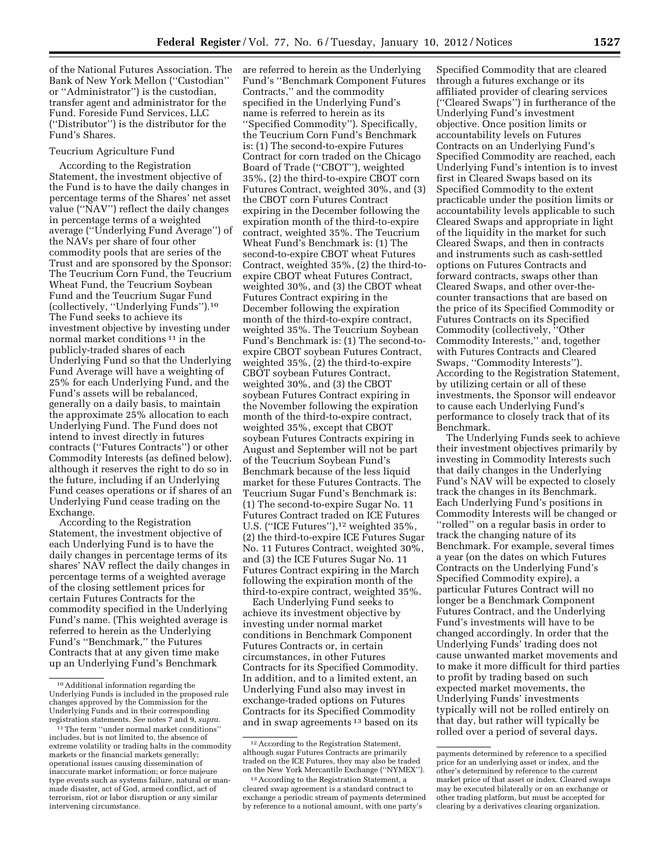of the National Futures Association. The Bank of New York Mellon (''Custodian'' or ''Administrator'') is the custodian, transfer agent and administrator for the Fund. Foreside Fund Services, LLC (''Distributor'') is the distributor for the Fund's Shares.

### Teucrium Agriculture Fund

According to the Registration Statement, the investment objective of the Fund is to have the daily changes in percentage terms of the Shares' net asset value (''NAV'') reflect the daily changes in percentage terms of a weighted average (''Underlying Fund Average'') of the NAVs per share of four other commodity pools that are series of the Trust and are sponsored by the Sponsor: The Teucrium Corn Fund, the Teucrium Wheat Fund, the Teucrium Soybean Fund and the Teucrium Sugar Fund (collectively, ''Underlying Funds'').10 The Fund seeks to achieve its investment objective by investing under normal market conditions 11 in the publicly-traded shares of each Underlying Fund so that the Underlying Fund Average will have a weighting of 25% for each Underlying Fund, and the Fund's assets will be rebalanced, generally on a daily basis, to maintain the approximate 25% allocation to each Underlying Fund. The Fund does not intend to invest directly in futures contracts (''Futures Contracts'') or other Commodity Interests (as defined below), although it reserves the right to do so in the future, including if an Underlying Fund ceases operations or if shares of an Underlying Fund cease trading on the Exchange.

According to the Registration Statement, the investment objective of each Underlying Fund is to have the daily changes in percentage terms of its shares' NAV reflect the daily changes in percentage terms of a weighted average of the closing settlement prices for certain Futures Contracts for the commodity specified in the Underlying Fund's name. (This weighted average is referred to herein as the Underlying Fund's ''Benchmark,'' the Futures Contracts that at any given time make up an Underlying Fund's Benchmark

are referred to herein as the Underlying Fund's ''Benchmark Component Futures Contracts,'' and the commodity specified in the Underlying Fund's name is referred to herein as its ''Specified Commodity''). Specifically, the Teucrium Corn Fund's Benchmark is: (1) The second-to-expire Futures Contract for corn traded on the Chicago Board of Trade (''CBOT''), weighted 35%, (2) the third-to-expire CBOT corn Futures Contract, weighted 30%, and (3) the CBOT corn Futures Contract expiring in the December following the expiration month of the third-to-expire contract, weighted 35%. The Teucrium Wheat Fund's Benchmark is: (1) The second-to-expire CBOT wheat Futures Contract, weighted 35%, (2) the third-toexpire CBOT wheat Futures Contract, weighted 30%, and (3) the CBOT wheat Futures Contract expiring in the December following the expiration month of the third-to-expire contract, weighted 35%. The Teucrium Soybean Fund's Benchmark is: (1) The second-toexpire CBOT soybean Futures Contract, weighted 35%, (2) the third-to-expire CBOT soybean Futures Contract, weighted 30%, and (3) the CBOT soybean Futures Contract expiring in the November following the expiration month of the third-to-expire contract, weighted 35%, except that CBOT soybean Futures Contracts expiring in August and September will not be part of the Teucrium Soybean Fund's Benchmark because of the less liquid market for these Futures Contracts. The Teucrium Sugar Fund's Benchmark is: (1) The second-to-expire Sugar No. 11 Futures Contract traded on ICE Futures U.S. ("ICE Futures"),<sup>12</sup> weighted 35%, (2) the third-to-expire ICE Futures Sugar No. 11 Futures Contract, weighted 30%, and (3) the ICE Futures Sugar No. 11 Futures Contract expiring in the March following the expiration month of the third-to-expire contract, weighted 35%.

Each Underlying Fund seeks to achieve its investment objective by investing under normal market conditions in Benchmark Component Futures Contracts or, in certain circumstances, in other Futures Contracts for its Specified Commodity. In addition, and to a limited extent, an Underlying Fund also may invest in exchange-traded options on Futures Contracts for its Specified Commodity and in swap agreements 13 based on its

Specified Commodity that are cleared through a futures exchange or its affiliated provider of clearing services (''Cleared Swaps'') in furtherance of the Underlying Fund's investment objective. Once position limits or accountability levels on Futures Contracts on an Underlying Fund's Specified Commodity are reached, each Underlying Fund's intention is to invest first in Cleared Swaps based on its Specified Commodity to the extent practicable under the position limits or accountability levels applicable to such Cleared Swaps and appropriate in light of the liquidity in the market for such Cleared Swaps, and then in contracts and instruments such as cash-settled options on Futures Contracts and forward contracts, swaps other than Cleared Swaps, and other over-thecounter transactions that are based on the price of its Specified Commodity or Futures Contracts on its Specified Commodity (collectively, ''Other Commodity Interests,'' and, together with Futures Contracts and Cleared Swaps, ''Commodity Interests''). According to the Registration Statement, by utilizing certain or all of these investments, the Sponsor will endeavor to cause each Underlying Fund's performance to closely track that of its Benchmark.

The Underlying Funds seek to achieve their investment objectives primarily by investing in Commodity Interests such that daily changes in the Underlying Fund's NAV will be expected to closely track the changes in its Benchmark. Each Underlying Fund's positions in Commodity Interests will be changed or ''rolled'' on a regular basis in order to track the changing nature of its Benchmark. For example, several times a year (on the dates on which Futures Contracts on the Underlying Fund's Specified Commodity expire), a particular Futures Contract will no longer be a Benchmark Component Futures Contract, and the Underlying Fund's investments will have to be changed accordingly. In order that the Underlying Funds' trading does not cause unwanted market movements and to make it more difficult for third parties to profit by trading based on such expected market movements, the Underlying Funds' investments typically will not be rolled entirely on that day, but rather will typically be rolled over a period of several days.

<sup>10</sup>Additional information regarding the Underlying Funds is included in the proposed rule changes approved by the Commission for the Underlying Funds and in their corresponding registration statements. *See* notes 7 and 9, *supra.* 

<sup>11</sup>The term ''under normal market conditions'' includes, but is not limited to, the absence of extreme volatility or trading halts in the commodity markets or the financial markets generally; operational issues causing dissemination of inaccurate market information; or force majeure type events such as systems failure, natural or manmade disaster, act of God, armed conflict, act of terrorism, riot or labor disruption or any similar intervening circumstance.

<sup>12</sup>According to the Registration Statement, although sugar Futures Contracts are primarily traded on the ICE Futures, they may also be traded on the New York Mercantile Exchange (''NYMEX'').

<sup>13</sup>According to the Registration Statement, a cleared swap agreement is a standard contract to exchange a periodic stream of payments determined by reference to a notional amount, with one party's

payments determined by reference to a specified price for an underlying asset or index, and the other's determined by reference to the current market price of that asset or index. Cleared swaps may be executed bilaterally or on an exchange or other trading platform, but must be accepted for clearing by a derivatives clearing organization.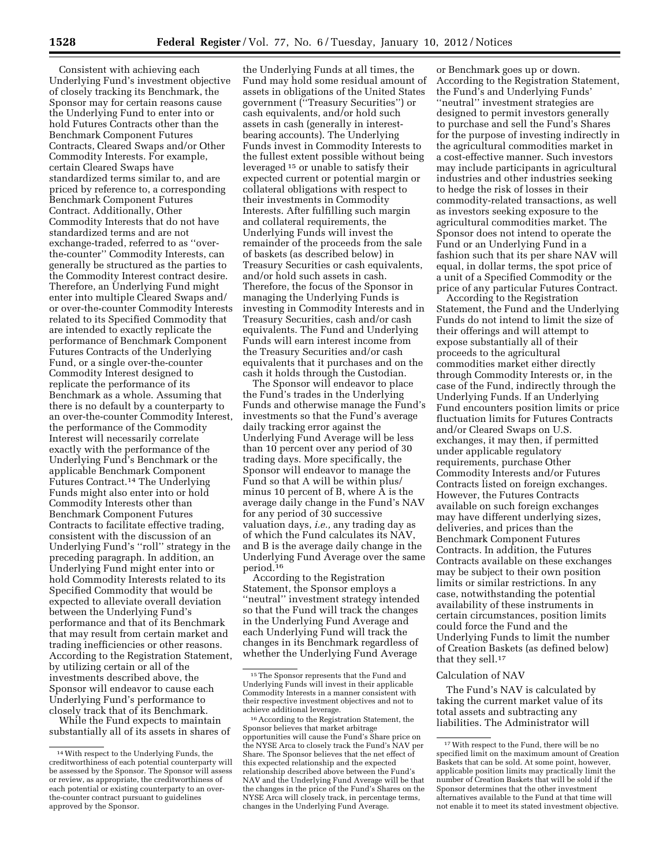Consistent with achieving each Underlying Fund's investment objective of closely tracking its Benchmark, the Sponsor may for certain reasons cause the Underlying Fund to enter into or hold Futures Contracts other than the Benchmark Component Futures Contracts, Cleared Swaps and/or Other Commodity Interests. For example, certain Cleared Swaps have standardized terms similar to, and are priced by reference to, a corresponding Benchmark Component Futures Contract. Additionally, Other Commodity Interests that do not have standardized terms and are not exchange-traded, referred to as ''overthe-counter'' Commodity Interests, can generally be structured as the parties to the Commodity Interest contract desire. Therefore, an Underlying Fund might enter into multiple Cleared Swaps and/ or over-the-counter Commodity Interests related to its Specified Commodity that are intended to exactly replicate the performance of Benchmark Component Futures Contracts of the Underlying Fund, or a single over-the-counter Commodity Interest designed to replicate the performance of its Benchmark as a whole. Assuming that there is no default by a counterparty to an over-the-counter Commodity Interest, the performance of the Commodity Interest will necessarily correlate exactly with the performance of the Underlying Fund's Benchmark or the applicable Benchmark Component Futures Contract.14 The Underlying Funds might also enter into or hold Commodity Interests other than Benchmark Component Futures Contracts to facilitate effective trading, consistent with the discussion of an Underlying Fund's ''roll'' strategy in the preceding paragraph. In addition, an Underlying Fund might enter into or hold Commodity Interests related to its Specified Commodity that would be expected to alleviate overall deviation between the Underlying Fund's performance and that of its Benchmark that may result from certain market and trading inefficiencies or other reasons. According to the Registration Statement, by utilizing certain or all of the investments described above, the Sponsor will endeavor to cause each Underlying Fund's performance to closely track that of its Benchmark.

While the Fund expects to maintain substantially all of its assets in shares of

the Underlying Funds at all times, the Fund may hold some residual amount of assets in obligations of the United States government (''Treasury Securities'') or cash equivalents, and/or hold such assets in cash (generally in interestbearing accounts). The Underlying Funds invest in Commodity Interests to the fullest extent possible without being leveraged 15 or unable to satisfy their expected current or potential margin or collateral obligations with respect to their investments in Commodity Interests. After fulfilling such margin and collateral requirements, the Underlying Funds will invest the remainder of the proceeds from the sale of baskets (as described below) in Treasury Securities or cash equivalents, and/or hold such assets in cash. Therefore, the focus of the Sponsor in managing the Underlying Funds is investing in Commodity Interests and in Treasury Securities, cash and/or cash equivalents. The Fund and Underlying Funds will earn interest income from the Treasury Securities and/or cash equivalents that it purchases and on the cash it holds through the Custodian.

The Sponsor will endeavor to place the Fund's trades in the Underlying Funds and otherwise manage the Fund's investments so that the Fund's average daily tracking error against the Underlying Fund Average will be less than 10 percent over any period of 30 trading days. More specifically, the Sponsor will endeavor to manage the Fund so that A will be within plus/ minus 10 percent of B, where A is the average daily change in the Fund's NAV for any period of 30 successive valuation days, *i.e.,* any trading day as of which the Fund calculates its NAV, and B is the average daily change in the Underlying Fund Average over the same period.16

According to the Registration Statement, the Sponsor employs a ''neutral'' investment strategy intended so that the Fund will track the changes in the Underlying Fund Average and each Underlying Fund will track the changes in its Benchmark regardless of whether the Underlying Fund Average

or Benchmark goes up or down. According to the Registration Statement, the Fund's and Underlying Funds' ''neutral'' investment strategies are designed to permit investors generally to purchase and sell the Fund's Shares for the purpose of investing indirectly in the agricultural commodities market in a cost-effective manner. Such investors may include participants in agricultural industries and other industries seeking to hedge the risk of losses in their commodity-related transactions, as well as investors seeking exposure to the agricultural commodities market. The Sponsor does not intend to operate the Fund or an Underlying Fund in a fashion such that its per share NAV will equal, in dollar terms, the spot price of a unit of a Specified Commodity or the price of any particular Futures Contract.

According to the Registration Statement, the Fund and the Underlying Funds do not intend to limit the size of their offerings and will attempt to expose substantially all of their proceeds to the agricultural commodities market either directly through Commodity Interests or, in the case of the Fund, indirectly through the Underlying Funds. If an Underlying Fund encounters position limits or price fluctuation limits for Futures Contracts and/or Cleared Swaps on U.S. exchanges, it may then, if permitted under applicable regulatory requirements, purchase Other Commodity Interests and/or Futures Contracts listed on foreign exchanges. However, the Futures Contracts available on such foreign exchanges may have different underlying sizes, deliveries, and prices than the Benchmark Component Futures Contracts. In addition, the Futures Contracts available on these exchanges may be subject to their own position limits or similar restrictions. In any case, notwithstanding the potential availability of these instruments in certain circumstances, position limits could force the Fund and the Underlying Funds to limit the number of Creation Baskets (as defined below) that they sell.<sup>17</sup>

#### Calculation of NAV

The Fund's NAV is calculated by taking the current market value of its total assets and subtracting any liabilities. The Administrator will

<sup>14</sup>With respect to the Underlying Funds, the creditworthiness of each potential counterparty will be assessed by the Sponsor. The Sponsor will assess or review, as appropriate, the creditworthiness of each potential or existing counterparty to an overthe-counter contract pursuant to guidelines approved by the Sponsor.

<sup>15</sup>The Sponsor represents that the Fund and Underlying Funds will invest in their applicable Commodity Interests in a manner consistent with their respective investment objectives and not to achieve additional leverage.

<sup>16</sup>According to the Registration Statement, the Sponsor believes that market arbitrage opportunities will cause the Fund's Share price on the NYSE Arca to closely track the Fund's NAV per Share. The Sponsor believes that the net effect of this expected relationship and the expected relationship described above between the Fund's NAV and the Underlying Fund Average will be that the changes in the price of the Fund's Shares on the NYSE Arca will closely track, in percentage terms, changes in the Underlying Fund Average.

 $^{\rm 17}$  With respect to the Fund, there will be no specified limit on the maximum amount of Creation Baskets that can be sold. At some point, however, applicable position limits may practically limit the number of Creation Baskets that will be sold if the Sponsor determines that the other investment alternatives available to the Fund at that time will not enable it to meet its stated investment objective.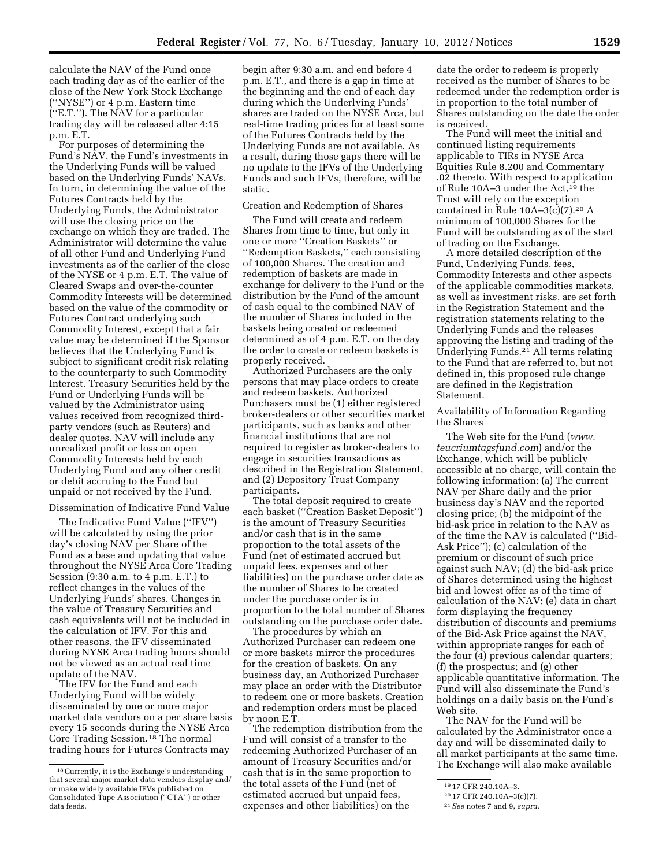calculate the NAV of the Fund once each trading day as of the earlier of the close of the New York Stock Exchange (''NYSE'') or 4 p.m. Eastern time (''E.T.''). The NAV for a particular trading day will be released after 4:15 p.m. E.T.

For purposes of determining the Fund's NAV, the Fund's investments in the Underlying Funds will be valued based on the Underlying Funds' NAVs. In turn, in determining the value of the Futures Contracts held by the Underlying Funds, the Administrator will use the closing price on the exchange on which they are traded. The Administrator will determine the value of all other Fund and Underlying Fund investments as of the earlier of the close of the NYSE or 4 p.m. E.T. The value of Cleared Swaps and over-the-counter Commodity Interests will be determined based on the value of the commodity or Futures Contract underlying such Commodity Interest, except that a fair value may be determined if the Sponsor believes that the Underlying Fund is subject to significant credit risk relating to the counterparty to such Commodity Interest. Treasury Securities held by the Fund or Underlying Funds will be valued by the Administrator using values received from recognized thirdparty vendors (such as Reuters) and dealer quotes. NAV will include any unrealized profit or loss on open Commodity Interests held by each Underlying Fund and any other credit or debit accruing to the Fund but unpaid or not received by the Fund.

### Dissemination of Indicative Fund Value

The Indicative Fund Value (''IFV'') will be calculated by using the prior day's closing NAV per Share of the Fund as a base and updating that value throughout the NYSE Arca Core Trading Session (9:30 a.m. to 4 p.m. E.T.) to reflect changes in the values of the Underlying Funds' shares. Changes in the value of Treasury Securities and cash equivalents will not be included in the calculation of IFV. For this and other reasons, the IFV disseminated during NYSE Arca trading hours should not be viewed as an actual real time update of the NAV.

The IFV for the Fund and each Underlying Fund will be widely disseminated by one or more major market data vendors on a per share basis every 15 seconds during the NYSE Arca Core Trading Session.18 The normal trading hours for Futures Contracts may

begin after 9:30 a.m. and end before 4 p.m. E.T., and there is a gap in time at the beginning and the end of each day during which the Underlying Funds' shares are traded on the NYSE Arca, but real-time trading prices for at least some of the Futures Contracts held by the Underlying Funds are not available. As a result, during those gaps there will be no update to the IFVs of the Underlying Funds and such IFVs, therefore, will be static.

### Creation and Redemption of Shares

The Fund will create and redeem Shares from time to time, but only in one or more ''Creation Baskets'' or ''Redemption Baskets,'' each consisting of 100,000 Shares. The creation and redemption of baskets are made in exchange for delivery to the Fund or the distribution by the Fund of the amount of cash equal to the combined NAV of the number of Shares included in the baskets being created or redeemed determined as of 4 p.m. E.T. on the day the order to create or redeem baskets is properly received.

Authorized Purchasers are the only persons that may place orders to create and redeem baskets. Authorized Purchasers must be (1) either registered broker-dealers or other securities market participants, such as banks and other financial institutions that are not required to register as broker-dealers to engage in securities transactions as described in the Registration Statement, and (2) Depository Trust Company participants.

The total deposit required to create each basket (''Creation Basket Deposit'') is the amount of Treasury Securities and/or cash that is in the same proportion to the total assets of the Fund (net of estimated accrued but unpaid fees, expenses and other liabilities) on the purchase order date as the number of Shares to be created under the purchase order is in proportion to the total number of Shares outstanding on the purchase order date.

The procedures by which an Authorized Purchaser can redeem one or more baskets mirror the procedures for the creation of baskets. On any business day, an Authorized Purchaser may place an order with the Distributor to redeem one or more baskets. Creation and redemption orders must be placed by noon E.T.

The redemption distribution from the Fund will consist of a transfer to the redeeming Authorized Purchaser of an amount of Treasury Securities and/or cash that is in the same proportion to the total assets of the Fund (net of estimated accrued but unpaid fees, expenses and other liabilities) on the

date the order to redeem is properly received as the number of Shares to be redeemed under the redemption order is in proportion to the total number of Shares outstanding on the date the order is received.

The Fund will meet the initial and continued listing requirements applicable to TIRs in NYSE Arca Equities Rule 8.200 and Commentary .02 thereto. With respect to application of Rule 10A–3 under the Act,19 the Trust will rely on the exception contained in Rule 10A–3(c)(7).20 A minimum of 100,000 Shares for the Fund will be outstanding as of the start of trading on the Exchange.

A more detailed description of the Fund, Underlying Funds, fees, Commodity Interests and other aspects of the applicable commodities markets, as well as investment risks, are set forth in the Registration Statement and the registration statements relating to the Underlying Funds and the releases approving the listing and trading of the Underlying Funds.21 All terms relating to the Fund that are referred to, but not defined in, this proposed rule change are defined in the Registration Statement.

Availability of Information Regarding the Shares

The Web site for the Fund (*[www.](http://www.teucriumtagsfund.com) [teucriumtagsfund.com](http://www.teucriumtagsfund.com)*) and/or the Exchange, which will be publicly accessible at no charge, will contain the following information: (a) The current NAV per Share daily and the prior business day's NAV and the reported closing price; (b) the midpoint of the bid-ask price in relation to the NAV as of the time the NAV is calculated (''Bid-Ask Price''); (c) calculation of the premium or discount of such price against such NAV; (d) the bid-ask price of Shares determined using the highest bid and lowest offer as of the time of calculation of the NAV; (e) data in chart form displaying the frequency distribution of discounts and premiums of the Bid-Ask Price against the NAV, within appropriate ranges for each of the four (4) previous calendar quarters; (f) the prospectus; and (g) other applicable quantitative information. The Fund will also disseminate the Fund's holdings on a daily basis on the Fund's Web site.

The NAV for the Fund will be calculated by the Administrator once a day and will be disseminated daily to all market participants at the same time. The Exchange will also make available

<sup>18</sup>Currently, it is the Exchange's understanding that several major market data vendors display and/ or make widely available IFVs published on Consolidated Tape Association (''CTA'') or other data feeds.

<sup>19</sup> 17 CFR 240.10A–3.

<sup>20</sup> 17 CFR 240.10A–3(c)(7).

<sup>21</sup>*See* notes 7 and 9, *supra.*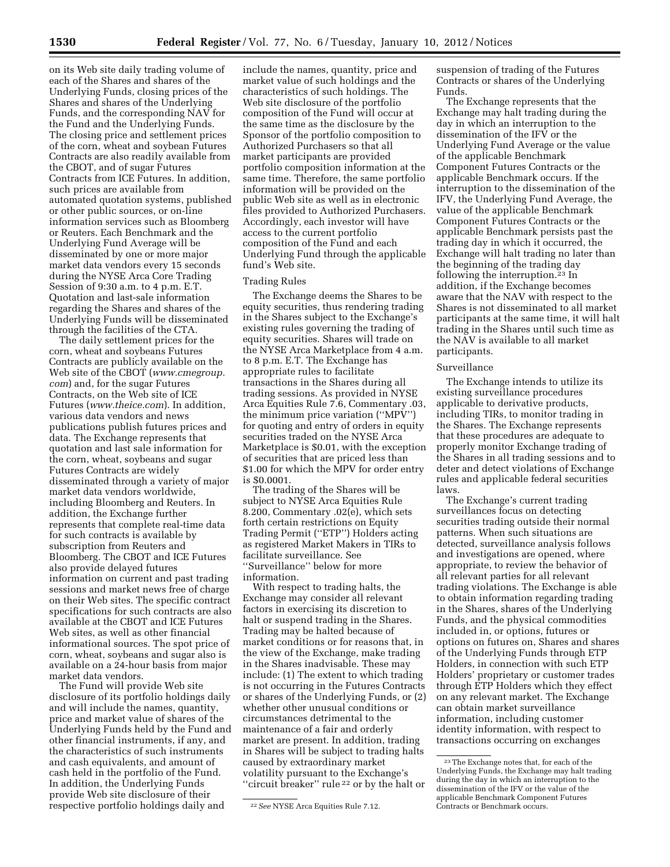on its Web site daily trading volume of each of the Shares and shares of the Underlying Funds, closing prices of the Shares and shares of the Underlying Funds, and the corresponding NAV for the Fund and the Underlying Funds. The closing price and settlement prices of the corn, wheat and soybean Futures Contracts are also readily available from the CBOT, and of sugar Futures Contracts from ICE Futures. In addition, such prices are available from automated quotation systems, published or other public sources, or on-line information services such as Bloomberg or Reuters. Each Benchmark and the Underlying Fund Average will be disseminated by one or more major market data vendors every 15 seconds during the NYSE Arca Core Trading Session of 9:30 a.m. to 4 p.m. E.T. Quotation and last-sale information regarding the Shares and shares of the Underlying Funds will be disseminated through the facilities of the CTA.

The daily settlement prices for the corn, wheat and soybeans Futures Contracts are publicly available on the Web site of the CBOT (*[www.cmegroup.](http://www.cmegroup.com) [com](http://www.cmegroup.com)*) and, for the sugar Futures Contracts, on the Web site of ICE Futures (*[www.theice.com](http://www.theice.com)*). In addition, various data vendors and news publications publish futures prices and data. The Exchange represents that quotation and last sale information for the corn, wheat, soybeans and sugar Futures Contracts are widely disseminated through a variety of major market data vendors worldwide, including Bloomberg and Reuters. In addition, the Exchange further represents that complete real-time data for such contracts is available by subscription from Reuters and Bloomberg. The CBOT and ICE Futures also provide delayed futures information on current and past trading sessions and market news free of charge on their Web sites. The specific contract specifications for such contracts are also available at the CBOT and ICE Futures Web sites, as well as other financial informational sources. The spot price of corn, wheat, soybeans and sugar also is available on a 24-hour basis from major market data vendors.

The Fund will provide Web site disclosure of its portfolio holdings daily and will include the names, quantity, price and market value of shares of the Underlying Funds held by the Fund and other financial instruments, if any, and the characteristics of such instruments and cash equivalents, and amount of cash held in the portfolio of the Fund. In addition, the Underlying Funds provide Web site disclosure of their respective portfolio holdings daily and

include the names, quantity, price and market value of such holdings and the characteristics of such holdings. The Web site disclosure of the portfolio composition of the Fund will occur at the same time as the disclosure by the Sponsor of the portfolio composition to Authorized Purchasers so that all market participants are provided portfolio composition information at the same time. Therefore, the same portfolio information will be provided on the public Web site as well as in electronic files provided to Authorized Purchasers. Accordingly, each investor will have access to the current portfolio composition of the Fund and each Underlying Fund through the applicable fund's Web site.

### Trading Rules

The Exchange deems the Shares to be equity securities, thus rendering trading in the Shares subject to the Exchange's existing rules governing the trading of equity securities. Shares will trade on the NYSE Arca Marketplace from 4 a.m. to 8 p.m. E.T. The Exchange has appropriate rules to facilitate transactions in the Shares during all trading sessions. As provided in NYSE Arca Equities Rule 7.6, Commentary .03, the minimum price variation (''MPV'') for quoting and entry of orders in equity securities traded on the NYSE Arca Marketplace is \$0.01, with the exception of securities that are priced less than \$1.00 for which the MPV for order entry is \$0.0001.

The trading of the Shares will be subject to NYSE Arca Equities Rule 8.200, Commentary .02(e), which sets forth certain restrictions on Equity Trading Permit (''ETP'') Holders acting as registered Market Makers in TIRs to facilitate surveillance. See ''Surveillance'' below for more information.

With respect to trading halts, the Exchange may consider all relevant factors in exercising its discretion to halt or suspend trading in the Shares. Trading may be halted because of market conditions or for reasons that, in the view of the Exchange, make trading in the Shares inadvisable. These may include: (1) The extent to which trading is not occurring in the Futures Contracts or shares of the Underlying Funds, or (2) whether other unusual conditions or circumstances detrimental to the maintenance of a fair and orderly market are present. In addition, trading in Shares will be subject to trading halts caused by extraordinary market volatility pursuant to the Exchange's "circuit breaker" rule<sup>22</sup> or by the halt or

suspension of trading of the Futures Contracts or shares of the Underlying Funds.

The Exchange represents that the Exchange may halt trading during the day in which an interruption to the dissemination of the IFV or the Underlying Fund Average or the value of the applicable Benchmark Component Futures Contracts or the applicable Benchmark occurs. If the interruption to the dissemination of the IFV, the Underlying Fund Average, the value of the applicable Benchmark Component Futures Contracts or the applicable Benchmark persists past the trading day in which it occurred, the Exchange will halt trading no later than the beginning of the trading day following the interruption.<sup>23</sup> In addition, if the Exchange becomes aware that the NAV with respect to the Shares is not disseminated to all market participants at the same time, it will halt trading in the Shares until such time as the NAV is available to all market participants.

#### Surveillance

The Exchange intends to utilize its existing surveillance procedures applicable to derivative products, including TIRs, to monitor trading in the Shares. The Exchange represents that these procedures are adequate to properly monitor Exchange trading of the Shares in all trading sessions and to deter and detect violations of Exchange rules and applicable federal securities laws.

The Exchange's current trading surveillances focus on detecting securities trading outside their normal patterns. When such situations are detected, surveillance analysis follows and investigations are opened, where appropriate, to review the behavior of all relevant parties for all relevant trading violations. The Exchange is able to obtain information regarding trading in the Shares, shares of the Underlying Funds, and the physical commodities included in, or options, futures or options on futures on, Shares and shares of the Underlying Funds through ETP Holders, in connection with such ETP Holders' proprietary or customer trades through ETP Holders which they effect on any relevant market. The Exchange can obtain market surveillance information, including customer identity information, with respect to transactions occurring on exchanges

<sup>22</sup>*See* NYSE Arca Equities Rule 7.12.

<sup>23</sup>The Exchange notes that, for each of the Underlying Funds, the Exchange may halt trading during the day in which an interruption to the dissemination of the IFV or the value of the applicable Benchmark Component Futures Contracts or Benchmark occurs.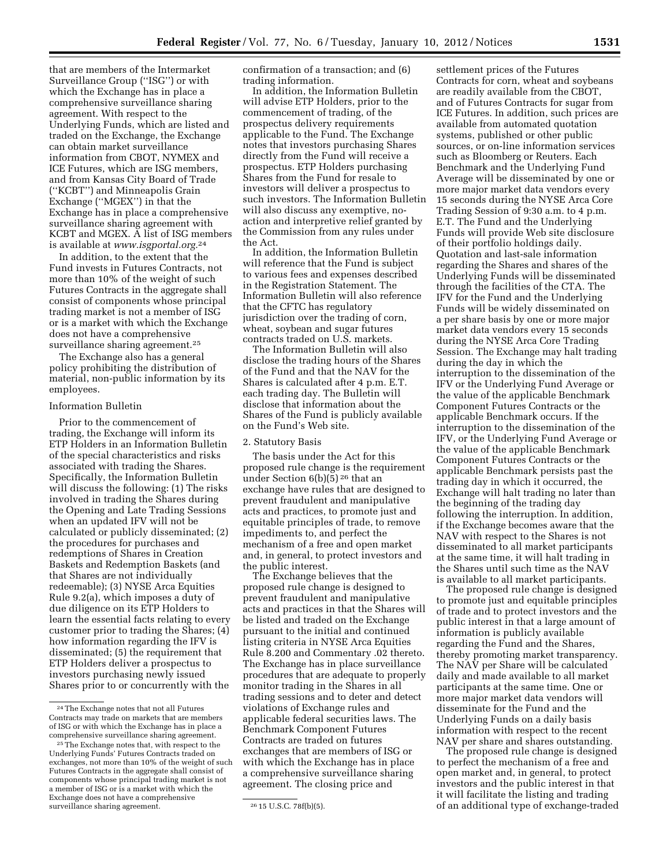that are members of the Intermarket Surveillance Group (''ISG'') or with which the Exchange has in place a comprehensive surveillance sharing agreement. With respect to the Underlying Funds, which are listed and traded on the Exchange, the Exchange can obtain market surveillance information from CBOT, NYMEX and ICE Futures, which are ISG members, and from Kansas City Board of Trade (''KCBT'') and Minneapolis Grain Exchange (''MGEX'') in that the Exchange has in place a comprehensive surveillance sharing agreement with KCBT and MGEX. A list of ISG members is available at *[www.isgportal.org.](http://www.isgportal.org)*24

In addition, to the extent that the Fund invests in Futures Contracts, not more than 10% of the weight of such Futures Contracts in the aggregate shall consist of components whose principal trading market is not a member of ISG or is a market with which the Exchange does not have a comprehensive surveillance sharing agreement.<sup>25</sup>

The Exchange also has a general policy prohibiting the distribution of material, non-public information by its employees.

#### Information Bulletin

Prior to the commencement of trading, the Exchange will inform its ETP Holders in an Information Bulletin of the special characteristics and risks associated with trading the Shares. Specifically, the Information Bulletin will discuss the following: (1) The risks involved in trading the Shares during the Opening and Late Trading Sessions when an updated IFV will not be calculated or publicly disseminated; (2) the procedures for purchases and redemptions of Shares in Creation Baskets and Redemption Baskets (and that Shares are not individually redeemable); (3) NYSE Arca Equities Rule 9.2(a), which imposes a duty of due diligence on its ETP Holders to learn the essential facts relating to every customer prior to trading the Shares; (4) how information regarding the IFV is disseminated; (5) the requirement that ETP Holders deliver a prospectus to investors purchasing newly issued Shares prior to or concurrently with the confirmation of a transaction; and (6) trading information.

In addition, the Information Bulletin will advise ETP Holders, prior to the commencement of trading, of the prospectus delivery requirements applicable to the Fund. The Exchange notes that investors purchasing Shares directly from the Fund will receive a prospectus. ETP Holders purchasing Shares from the Fund for resale to investors will deliver a prospectus to such investors. The Information Bulletin will also discuss any exemptive, noaction and interpretive relief granted by the Commission from any rules under the Act.

In addition, the Information Bulletin will reference that the Fund is subject to various fees and expenses described in the Registration Statement. The Information Bulletin will also reference that the CFTC has regulatory jurisdiction over the trading of corn, wheat, soybean and sugar futures contracts traded on U.S. markets.

The Information Bulletin will also disclose the trading hours of the Shares of the Fund and that the NAV for the Shares is calculated after 4 p.m. E.T. each trading day. The Bulletin will disclose that information about the Shares of the Fund is publicly available on the Fund's Web site.

#### 2. Statutory Basis

The basis under the Act for this proposed rule change is the requirement under Section 6(b)(5) 26 that an exchange have rules that are designed to prevent fraudulent and manipulative acts and practices, to promote just and equitable principles of trade, to remove impediments to, and perfect the mechanism of a free and open market and, in general, to protect investors and the public interest.

The Exchange believes that the proposed rule change is designed to prevent fraudulent and manipulative acts and practices in that the Shares will be listed and traded on the Exchange pursuant to the initial and continued listing criteria in NYSE Arca Equities Rule 8.200 and Commentary .02 thereto. The Exchange has in place surveillance procedures that are adequate to properly monitor trading in the Shares in all trading sessions and to deter and detect violations of Exchange rules and applicable federal securities laws. The Benchmark Component Futures Contracts are traded on futures exchanges that are members of ISG or with which the Exchange has in place a comprehensive surveillance sharing agreement. The closing price and

settlement prices of the Futures Contracts for corn, wheat and soybeans are readily available from the CBOT, and of Futures Contracts for sugar from ICE Futures. In addition, such prices are available from automated quotation systems, published or other public sources, or on-line information services such as Bloomberg or Reuters. Each Benchmark and the Underlying Fund Average will be disseminated by one or more major market data vendors every 15 seconds during the NYSE Arca Core Trading Session of 9:30 a.m. to 4 p.m. E.T. The Fund and the Underlying Funds will provide Web site disclosure of their portfolio holdings daily. Quotation and last-sale information regarding the Shares and shares of the Underlying Funds will be disseminated through the facilities of the CTA. The IFV for the Fund and the Underlying Funds will be widely disseminated on a per share basis by one or more major market data vendors every 15 seconds during the NYSE Arca Core Trading Session. The Exchange may halt trading during the day in which the interruption to the dissemination of the IFV or the Underlying Fund Average or the value of the applicable Benchmark Component Futures Contracts or the applicable Benchmark occurs. If the interruption to the dissemination of the IFV, or the Underlying Fund Average or the value of the applicable Benchmark Component Futures Contracts or the applicable Benchmark persists past the trading day in which it occurred, the Exchange will halt trading no later than the beginning of the trading day following the interruption. In addition, if the Exchange becomes aware that the NAV with respect to the Shares is not disseminated to all market participants at the same time, it will halt trading in the Shares until such time as the NAV is available to all market participants.

The proposed rule change is designed to promote just and equitable principles of trade and to protect investors and the public interest in that a large amount of information is publicly available regarding the Fund and the Shares, thereby promoting market transparency. The NAV per Share will be calculated daily and made available to all market participants at the same time. One or more major market data vendors will disseminate for the Fund and the Underlying Funds on a daily basis information with respect to the recent NAV per share and shares outstanding.

The proposed rule change is designed to perfect the mechanism of a free and open market and, in general, to protect investors and the public interest in that it will facilitate the listing and trading of an additional type of exchange-traded

<sup>24</sup>The Exchange notes that not all Futures Contracts may trade on markets that are members of ISG or with which the Exchange has in place a comprehensive surveillance sharing agreement.

<sup>&</sup>lt;sup>25</sup> The Exchange notes that, with respect to the Underlying Funds' Futures Contracts traded on exchanges, not more than 10% of the weight of such Futures Contracts in the aggregate shall consist of components whose principal trading market is not a member of ISG or is a market with which the Exchange does not have a comprehensive surveillance sharing agreement. 26 15 U.S.C. 78f(b)(5).